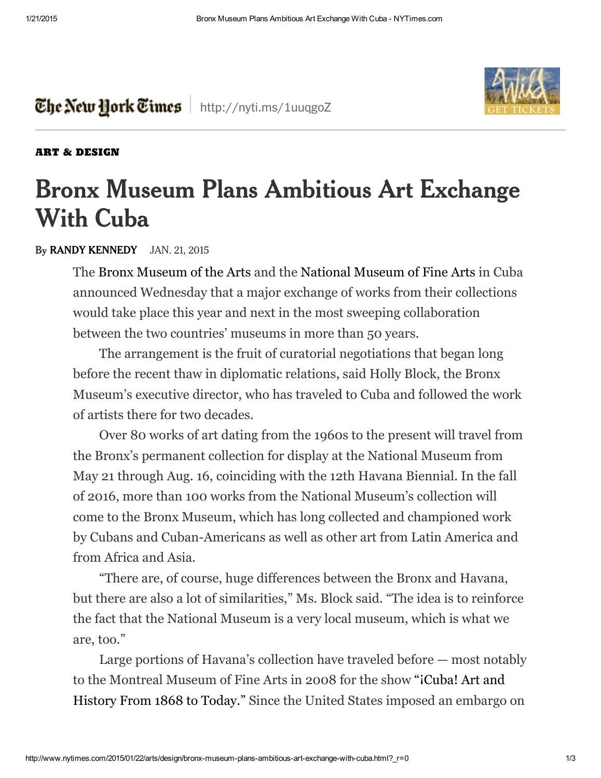



## ART & [DESIGN](http://www.nytimes.com/pages/arts/design/index.html)

## **Bronx Museum Plans Ambitious Art Exchange With Cuba**

## **By RANDY [KENNEDY](http://topics.nytimes.com/top/reference/timestopics/people/k/randy_kennedy/index.html)** JAN. 21, 2015

The Bronx [Museum](http://www.bronxmuseum.org/) of the Arts and the National [Museum](http://www.bellasartes.cult.cu/) of Fine Arts in Cuba announced Wednesday that a major exchange of works from their collections would take place this year and next in the most sweeping collaboration between the two countries' museums in more than 50 years.

The arrangement is the fruit of curatorial negotiations that began long before the recent thaw in diplomatic relations, said Holly Block, the Bronx Museum's executive director, who has traveled to Cuba and followed the work of artists there for two decades.

Over 80 works of art dating from the 1960s to the present will travel from the Bronx's permanent collection for display at the National Museum from May 21 through Aug. 16, coinciding with the 12th Havana Biennial. In the fall of 2016, more than 100 works from the National Museum's collection will come to the Bronx Museum, which has long collected and championed work by Cubans and Cuban-Americans as well as other art from Latin America and from Africa and Asia.

"There are, of course, huge differences between the Bronx and Havana, but there are also a lot of similarities," Ms. Block said. "The idea is to reinforce the fact that the National Museum is a very local museum, which is what we are, too."

Large portions of Havana's collection have traveled before — most notably to the [Montreal](http://www.nytimes.com/2008/02/03/arts/design/03darc.html?n=Top%2FNews%2FWorld%2FCountries%20and%20Territories%2FCuba&_r=0) Museum of Fine Arts in 2008 for the show "¡Cuba! Art and History From 1868 to Today." Since the United States imposed an embargo on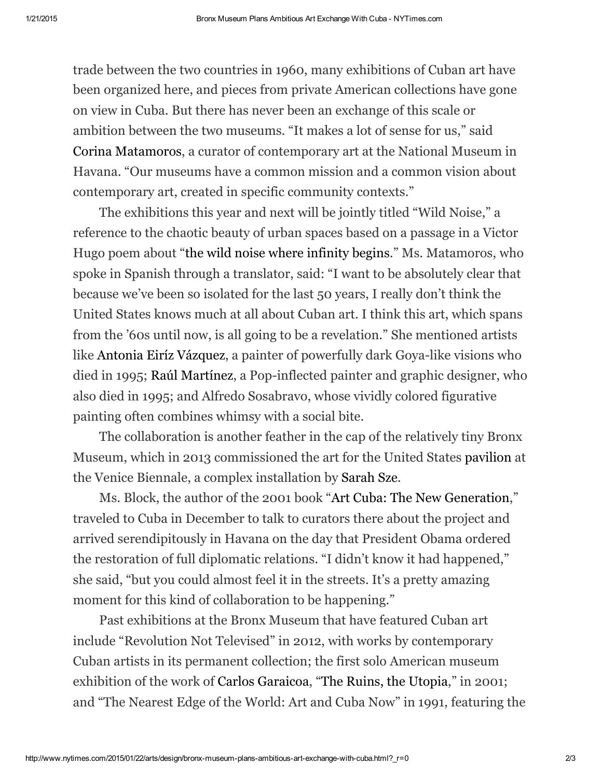trade between the two countries in 1960, many exhibitions of Cuban art have been organized here, and pieces from private American collections have gone on view in Cuba. But there has never been an exchange of this scale or ambition between the two museums. "It makes a lot of sense for us," said Corina [Matamoros,](http://www.uprising-art.com/en/portfolio/corina-matamoros-cuba/) a curator of contemporary art at the National Museum in Havana. "Our museums have a common mission and a common vision about contemporary art, created in specific community contexts."

The exhibitions this year and next will be jointly titled "Wild Noise," a reference to the chaotic beauty of urban spaces based on a passage in a Victor Hugo poem about "the wild noise where [infinity](http://fr.wikisource.org/wiki/&) begins." Ms. Matamoros, who spoke in Spanish through a translator, said: "I want to be absolutely clear that because we've been so isolated for the last 50 years, I really don't think the United States knows much at all about Cuban art. I think this art, which spans from the '60s until now, is all going to be a revelation." She mentioned artists like Antonia Eiríz [Vázquez,](http://www.aeiriz.com/html/artwork_1960-68.html) a painter of powerfully dark Goya-like visions who died in 1995; Raúl [Martínez,](https://www.pinterest.com/pin/492722015456762840/) a Pop-inflected painter and graphic designer, who also died in 1995; and Alfredo Sosabravo, whose vividly colored figurative painting often combines whimsy with a social bite.

The collaboration is another feather in the cap of the relatively tiny Bronx Museum, which in 2013 commissioned the art for the United States [pavilion](http://www.sarahszevenice2013.com/) at the Venice Biennale, a complex installation by [Sarah](http://www.nytimes.com/2012/02/24/arts/design/sarah-sze-to-represent-us-at-venice-biennale.html) Sze.

Ms. Block, the author of the 2001 book "Art Cuba: The New [Generation](http://bombmagazine.org/article/5473/art-cuba-the-new-generation-by-holly-block)," traveled to Cuba in December to talk to curators there about the project and arrived serendipitously in Havana on the day that President Obama ordered the restoration of full diplomatic relations. "I didn't know it had happened," she said, "but you could almost feel it in the streets. It's a pretty amazing moment for this kind of collaboration to be happening."

Past exhibitions at the Bronx Museum that have featured Cuban art include "Revolution Not Televised" in 2012, with works by contemporary Cuban artists in its permanent collection; the first solo American museum exhibition of the work of Carlos [Garaicoa,](http://www.carlosgaraicoa.com/) "The Ruins, the [Utopia,](http://www.nytimes.com/2001/02/16/arts/art-in-review-carlos-garaicoa-the-ruins-the-utopia.html)" in 2001; and "The Nearest Edge of the World: Art and Cuba Now" in 1991, featuring the